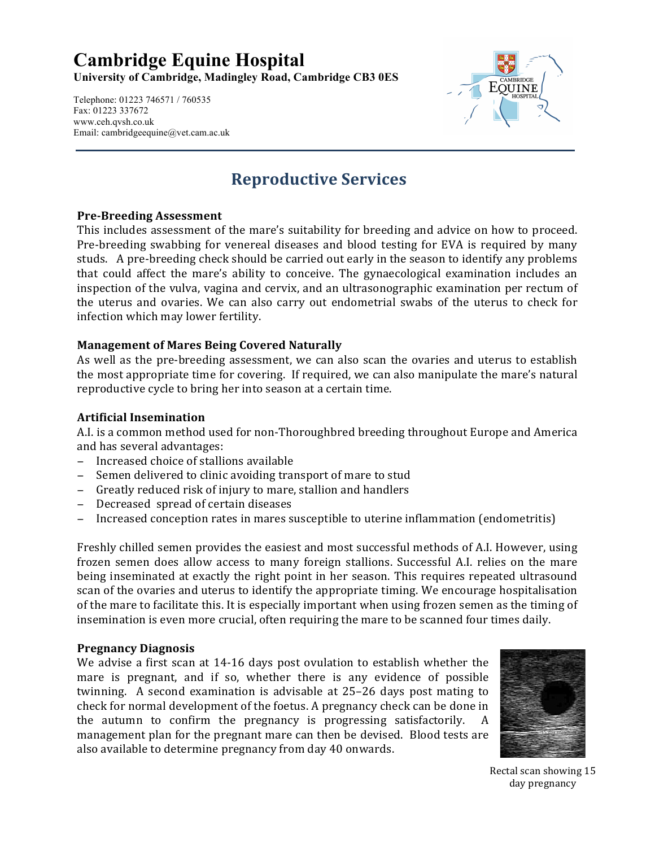# **Cambridge Equine Hospital**

**University of Cambridge, Madingley Road, Cambridge CB3 0ES**

Telephone: 01223 746571 / 760535 Fax: 01223 337672 www.ceh.qvsh.co.uk Email: cambridgeequine@vet.cam.ac.uk



# **Reproductive Services**

## **Pre-Breeding Assessment**

This includes assessment of the mare's suitability for breeding and advice on how to proceed. Pre-breeding swabbing for venereal diseases and blood testing for EVA is required by many studs. A pre-breeding check should be carried out early in the season to identify any problems that could affect the mare's ability to conceive. The gynaecological examination includes an inspection of the vulva, vagina and cervix, and an ultrasonographic examination per rectum of the uterus and ovaries. We can also carry out endometrial swabs of the uterus to check for infection which may lower fertility.

### **Management of Mares Being Covered Naturally**

As well as the pre-breeding assessment, we can also scan the ovaries and uterus to establish the most appropriate time for covering. If required, we can also manipulate the mare's natural reproductive cycle to bring her into season at a certain time.

### **Artificial!Insemination!**

A.I. is a common method used for non-Thoroughbred breeding throughout Europe and America and has several advantages:

- − Increased choice of stallions available
- Semen delivered to clinic avoiding transport of mare to stud
- − Greatly reduced risk of injury to mare, stallion and handlers
- − Decreased spread of certain diseases
- Increased conception rates in mares susceptible to uterine inflammation (endometritis)

Freshly chilled semen provides the easiest and most successful methods of A.I. However, using frozen semen does allow access to many foreign stallions. Successful A.I. relies on the mare being inseminated at exactly the right point in her season. This requires repeated ultrasound scan of the ovaries and uterus to identify the appropriate timing. We encourage hospitalisation of the mare to facilitate this. It is especially important when using frozen semen as the timing of insemination is even more crucial, often requiring the mare to be scanned four times daily.

#### **Pregnancy!Diagnosis!**

We advise a first scan at 14-16 days post ovulation to establish whether the mare is pregnant, and if so, whether there is any evidence of possible twinning. A second examination is advisable at  $25-26$  days post mating to check for normal development of the foetus. A pregnancy check can be done in the autumn to confirm the pregnancy is progressing satisfactorily. A management plan for the pregnant mare can then be devised. Blood tests are also available to determine pregnancy from day 40 onwards.



Rectal scan showing 15 day pregnancy